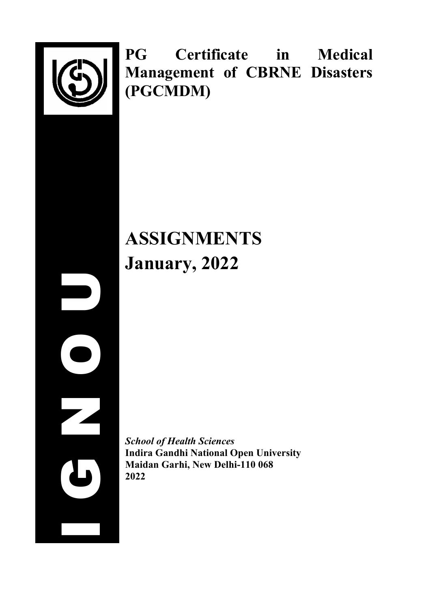

I G N O U

**PG Certificate in Medical Management of CBRNE Disasters (PGCMDM)**

# **ASSIGNMENTS January, 2022**

*School of Health Sciences* **Indira Gandhi National Open University Maidan Garhi, New Delhi-110 068 2022**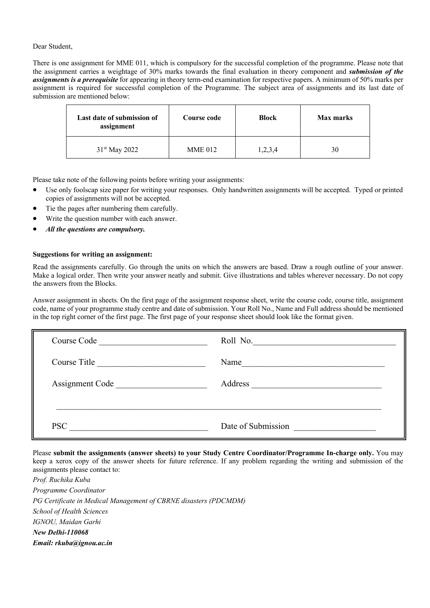#### Dear Student,

There is one assignment for MME 011, which is compulsory for the successful completion of the programme. Please note that the assignment carries a weightage of 30% marks towards the final evaluation in theory component and *submission of the assignments is a prerequisite* for appearing in theory term-end examination for respective papers. A minimum of 50% marks per assignment is required for successful completion of the Programme. The subject area of assignments and its last date of submission are mentioned below:

| Last date of submission of<br>assignment | Course code    | <b>Block</b> | <b>Max marks</b> |
|------------------------------------------|----------------|--------------|------------------|
| $31st$ May 2022                          | <b>MME 012</b> | 1,2,3,4      | 30               |

Please take note of the following points before writing your assignments:

- Use only foolscap size paper for writing your responses. Only handwritten assignments will be accepted. Typed or printed copies of assignments will not be accepted.
- Tie the pages after numbering them carefully.
- Write the question number with each answer.
- *All the questions are compulsory.*

#### **Suggestions for writing an assignment:**

Read the assignments carefully. Go through the units on which the answers are based. Draw a rough outline of your answer. Make a logical order. Then write your answer neatly and submit. Give illustrations and tables wherever necessary. Do not copy the answers from the Blocks.

Answer assignment in sheets. On the first page of the assignment response sheet, write the course code, course title, assignment code, name of your programme study centre and date of submission. Your Roll No., Name and Full address should be mentioned in the top right corner of the first page. The first page of your response sheet should look like the format given.

| Course Code Course New York                                       | Roll No.                                                      |  |
|-------------------------------------------------------------------|---------------------------------------------------------------|--|
| Course Title<br><u> 1980 - Andrea Brand, amerikansk politik (</u> | Name<br><u> 1980 - Andrea Andrew Maria (h. 1980).</u>         |  |
| Assignment Code                                                   | Address<br><u> 1980 - John Stein, Amerikaansk politiker (</u> |  |
|                                                                   |                                                               |  |
| <b>PSC</b>                                                        | Date of Submission                                            |  |

Please **submit the assignments (answer sheets) to your Study Centre Coordinator/Programme In-charge only.** You may keep a xerox copy of the answer sheets for future reference. If any problem regarding the writing and submission of the assignments please contact to:

*Prof. Ruchika Kuba Programme Coordinator PG Certificate in Medical Management of CBRNE disasters (PDCMDM) School of Health Sciences IGNOU, Maidan Garhi New Delhi-110068 Email: rkuba@ignou.ac.in*